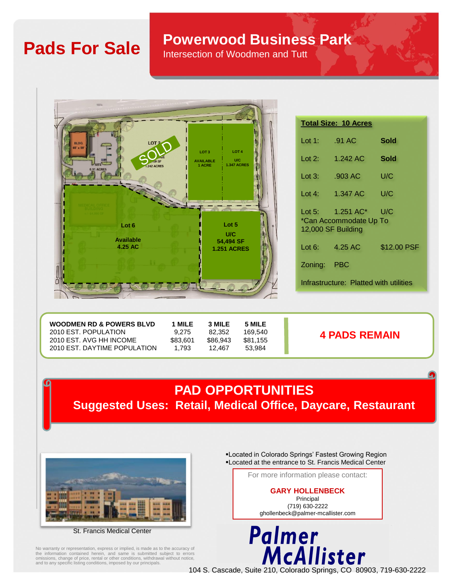# **Pads For Sale Powerwood Business Park**

Intersection of Woodmen and Tutt

| <b>MIN</b>                                                            |                                                                                                        |           |                                                   |
|-----------------------------------------------------------------------|--------------------------------------------------------------------------------------------------------|-----------|---------------------------------------------------|
|                                                                       |                                                                                                        |           | <b>Total Size: 10 Acr</b>                         |
| LOT <sub>2</sub><br>BLDG.<br>65' x 90'                                |                                                                                                        | Lot 1:    | .91 AC                                            |
| u9 SF<br><b>SITE</b><br><b>1.242 ACRES</b>                            | LOT <sub>4</sub><br>LOT <sub>3</sub><br><b>U/C</b><br><b>AVAILABLE</b><br><b>1.347 ACRES</b><br>1 ACRE | Lot $2$ : | 1.242 AC                                          |
| 0.91 ACRES                                                            |                                                                                                        | Lot $3:$  | .903 AC                                           |
|                                                                       |                                                                                                        | Lot 4:    | 1.347 AC                                          |
| <b>VIEDICAL OFFICE</b><br><b>BUILDING</b><br>$-/- 64.000$ SF<br>Lot 6 | Lot 5<br>U/C                                                                                           | Lot $5:$  | 1.251 AC<br>*Can Accommodat<br>12,000 SF Building |
| <b>Available</b><br>4.25 AC                                           | 54,494 SF<br><b>1.251 ACRES</b>                                                                        | Lot $6:$  | 4.25 AC                                           |
|                                                                       |                                                                                                        | Zoning:   | <b>PBC</b>                                        |
|                                                                       |                                                                                                        |           | Infrastructure: Plat                              |
|                                                                       |                                                                                                        |           |                                                   |

| 2010 EST. POPULATION<br>169.540<br>82.352<br>9.275<br><b>4 PADS REMAIN</b><br>\$83.601<br>2010 EST. AVG HH INCOME<br>\$86.943<br>\$81.155 |
|-------------------------------------------------------------------------------------------------------------------------------------------|
|-------------------------------------------------------------------------------------------------------------------------------------------|

## **PAD OPPORTUNITIES Suggested Uses: Retail, Medical Office, Daycare, Restaurant**



St. Francis Medical Center

No warranty or representation, express or implied, is made as to the accuracy of the information contained herein, and same is submitted subject to errors omissions, change of price, rental or other conditions, withdrawal without notice, and to any specific listing conditions, imposed by our principals.

▪Located in Colorado Springs' Fastest Growing Region ▪Located at the entrance to St. Francis Medical Center

<u>tes</u>

Sold

Sold

 $U/C$ 

 $U/C$ 

 $U/C$ e Up To

ted with utilities

\$12.00 PSF

For more information please contact:

## **GARY HOLLENBECK**

Principal (719) 630-2222 ghollenbeck@palmer-mcallister.com



104 S. Cascade, Suite 210, Colorado Springs, CO 80903, 719-630-2222